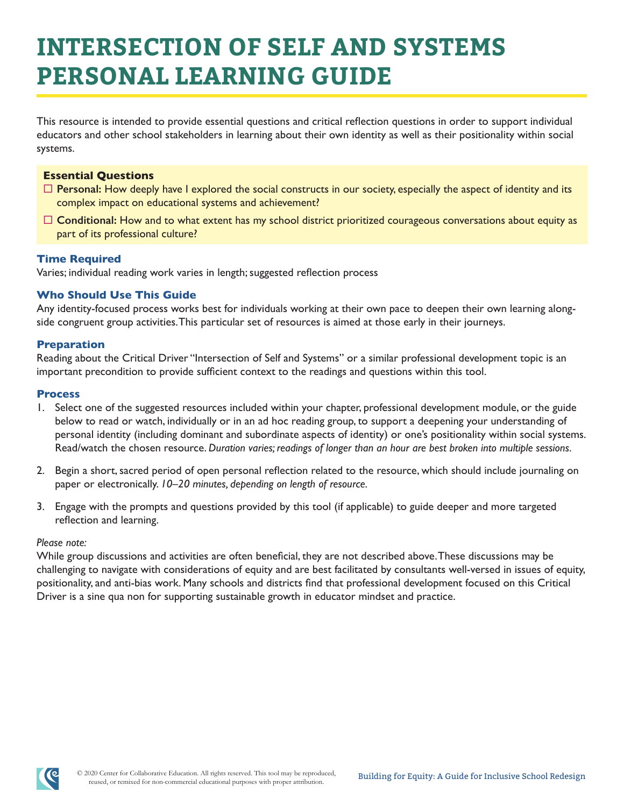# **INTERSECTION OF SELF AND SYSTEMS PERSONAL LEARNING GUIDE**

This resource is intended to provide essential questions and critical reflection questions in order to support individual educators and other school stakeholders in learning about their own identity as well as their positionality within social systems.

### **Essential Questions**

- $\Box$  **Personal:** How deeply have I explored the social constructs in our society, especially the aspect of identity and its complex impact on educational systems and achievement?
- □ **Conditional:** How and to what extent has my school district prioritized courageous conversations about equity as part of its professional culture?

#### **Time Required**

Varies; individual reading work varies in length; suggested reflection process

# **Who Should Use This Guide**

Any identity-focused process works best for individuals working at their own pace to deepen their own learning alongside congruent group activities. This particular set of resources is aimed at those early in their journeys.

#### **Preparation**

Reading about the Critical Driver "Intersection of Self and Systems" or a similar professional development topic is an important precondition to provide sufficient context to the readings and questions within this tool.

#### **Process**

- 1. Select one of the suggested resources included within your chapter, professional development module, or the guide below to read or watch, individually or in an ad hoc reading group, to support a deepening your understanding of personal identity (including dominant and subordinate aspects of identity) or one's positionality within social systems. Read/watch the chosen resource. *Duration varies; readings of longer than an hour are best broken into multiple sessions.*
- 2. Begin a short, sacred period of open personal reflection related to the resource, which should include journaling on paper or electronically. *10–20 minutes, depending on length of resource.*
- 3. Engage with the prompts and questions provided by this tool (if applicable) to guide deeper and more targeted reflection and learning.

#### *Please note:*

While group discussions and activities are often beneficial, they are not described above. These discussions may be challenging to navigate with considerations of equity and are best facilitated by consultants well-versed in issues of equity, positionality, and anti-bias work. Many schools and districts find that professional development focused on this Critical Driver is a sine qua non for supporting sustainable growth in educator mindset and practice.